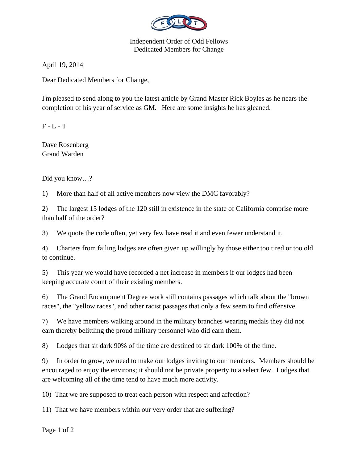

Independent Order of Odd Fellows Dedicated Members for Change

April 19, 2014

Dear Dedicated Members for Change,

I'm pleased to send along to you the latest article by Grand Master Rick Boyles as he nears the completion of his year of service as GM. Here are some insights he has gleaned.

 $F - L - T$ 

Dave Rosenberg Grand Warden

Did you know…?

1) More than half of all active members now view the DMC favorably?

2) The largest 15 lodges of the 120 still in existence in the state of California comprise more than half of the order?

3) We quote the code often, yet very few have read it and even fewer understand it.

4) Charters from failing lodges are often given up willingly by those either too tired or too old to continue.

5) This year we would have recorded a net increase in members if our lodges had been keeping accurate count of their existing members.

6) The Grand Encampment Degree work still contains passages which talk about the "brown races", the "yellow races", and other racist passages that only a few seem to find offensive.

7) We have members walking around in the military branches wearing medals they did not earn thereby belittling the proud military personnel who did earn them.

8) Lodges that sit dark 90% of the time are destined to sit dark 100% of the time.

9) In order to grow, we need to make our lodges inviting to our members. Members should be encouraged to enjoy the environs; it should not be private property to a select few. Lodges that are welcoming all of the time tend to have much more activity.

10) That we are supposed to treat each person with respect and affection?

11) That we have members within our very order that are suffering?

Page 1 of 2